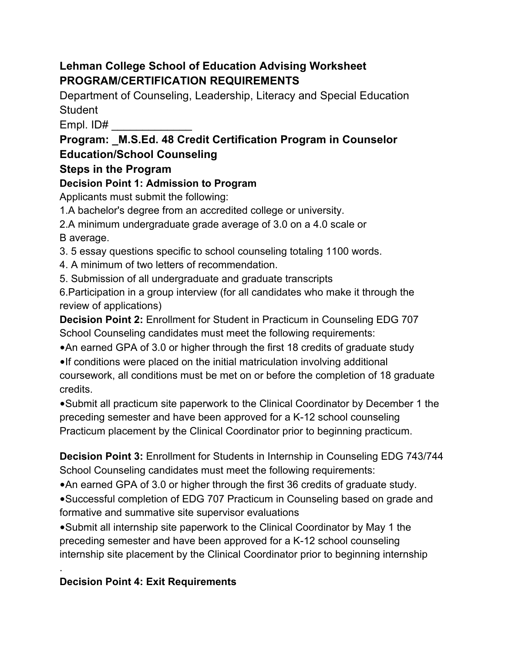## **Lehman College School of Education Advising Worksheet PROGRAM/CERTIFICATION REQUIREMENTS**

Department of Counseling, Leadership, Literacy and Special Education **Student** 

Empl. ID# \_\_\_\_\_\_\_\_\_\_\_\_\_

# **Program: \_M.S.Ed. 48 Credit Certification Program in Counselor Education/School Counseling**

## **Steps in the Program**

# **Decision Point 1: Admission to Program**

Applicants must submit the following:

1.A bachelor's degree from an accredited college or university.

2.A minimum undergraduate grade average of 3.0 on a 4.0 scale or B average.

3. 5 essay questions specific to school counseling totaling 1100 words.

4. A minimum of two letters of recommendation.

5. Submission of all undergraduate and graduate transcripts

6.Participation in a group interview (for all candidates who make it through the review of applications)

**Decision Point 2:** Enrollment for Student in Practicum in Counseling EDG 707 School Counseling candidates must meet the following requirements:

•An earned GPA of 3.0 or higher through the first 18 credits of graduate study

•If conditions were placed on the initial matriculation involving additional coursework, all conditions must be met on or before the completion of 18 graduate credits.

•Submit all practicum site paperwork to the Clinical Coordinator by December 1 the preceding semester and have been approved for a K-12 school counseling Practicum placement by the Clinical Coordinator prior to beginning practicum.

**Decision Point 3:** Enrollment for Students in Internship in Counseling EDG 743/744 School Counseling candidates must meet the following requirements:

•An earned GPA of 3.0 or higher through the first 36 credits of graduate study.

•Successful completion of EDG 707 Practicum in Counseling based on grade and formative and summative site supervisor evaluations

•Submit all internship site paperwork to the Clinical Coordinator by May 1 the preceding semester and have been approved for a K-12 school counseling internship site placement by the Clinical Coordinator prior to beginning internship

# **Decision Point 4: Exit Requirements**

.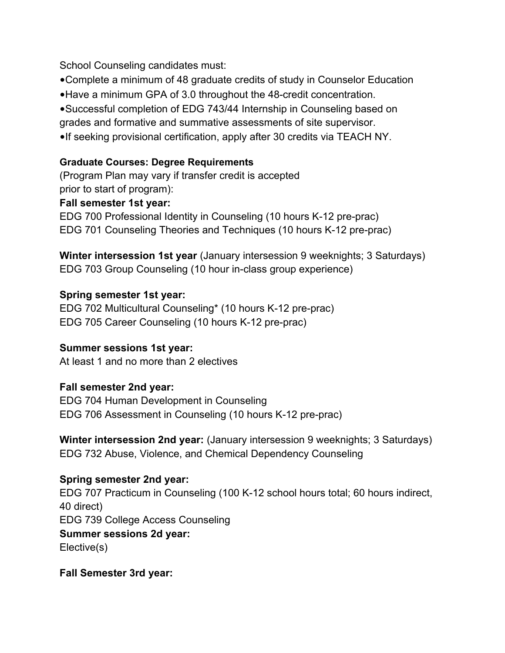School Counseling candidates must:

•Complete a minimum of 48 graduate credits of study in Counselor Education

•Have a minimum GPA of 3.0 throughout the 48-credit concentration.

•Successful completion of EDG 743/44 Internship in Counseling based on

grades and formative and summative assessments of site supervisor.

•If seeking provisional certification, apply after 30 credits via TEACH NY.

### **Graduate Courses: Degree Requirements**

(Program Plan may vary if transfer credit is accepted prior to start of program):

#### **Fall semester 1st year:**

EDG 700 Professional Identity in Counseling (10 hours K-12 pre-prac) EDG 701 Counseling Theories and Techniques (10 hours K-12 pre-prac)

**Winter intersession 1st year** (January intersession 9 weeknights; 3 Saturdays) EDG 703 Group Counseling (10 hour in-class group experience)

### **Spring semester 1st year:**

EDG 702 Multicultural Counseling\* (10 hours K-12 pre-prac) EDG 705 Career Counseling (10 hours K-12 pre-prac)

### **Summer sessions 1st year:**

At least 1 and no more than 2 electives

### **Fall semester 2nd year:**

EDG 704 Human Development in Counseling EDG 706 Assessment in Counseling (10 hours K-12 pre-prac)

**Winter intersession 2nd year:** (January intersession 9 weeknights; 3 Saturdays) EDG 732 Abuse, Violence, and Chemical Dependency Counseling

### **Spring semester 2nd year:**

EDG 707 Practicum in Counseling (100 K-12 school hours total; 60 hours indirect, 40 direct) EDG 739 College Access Counseling **Summer sessions 2d year:**  Elective(s)

#### **Fall Semester 3rd year:**